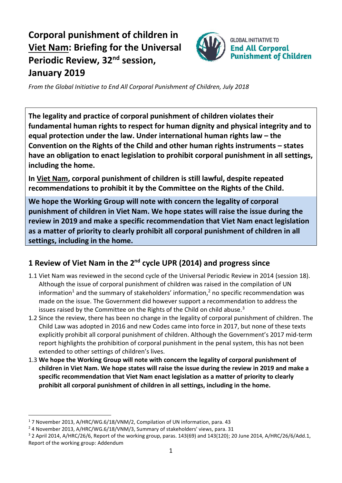## **Corporal punishment of children in Viet Nam: Briefing for the Universal Periodic Review, 32<sup>nd</sup> session, January 2019**



*From the Global Initiative to End All Corporal Punishment of Children, July 2018*

**The legality and practice of corporal punishment of children violates their fundamental human rights to respect for human dignity and physical integrity and to equal protection under the law. Under international human rights law – the Convention on the Rights of the Child and other human rights instruments – states have an obligation to enact legislation to prohibit corporal punishment in all settings, including the home.**

**In Viet Nam, corporal punishment of children is still lawful, despite repeated recommendations to prohibit it by the Committee on the Rights of the Child.**

**We hope the Working Group will note with concern the legality of corporal punishment of children in Viet Nam. We hope states will raise the issue during the review in 2019 and make a specific recommendation that Viet Nam enact legislation as a matter of priority to clearly prohibit all corporal punishment of children in all settings, including in the home.**

## **1 Review of Viet Nam in the 2nd cycle UPR (2014) and progress since**

- 1.1 Viet Nam was reviewed in the second cycle of the Universal Periodic Review in 2014 (session 18). Although the issue of corporal punishment of children was raised in the compilation of UN information<sup>1</sup> and the summary of stakeholders' information,<sup>2</sup> no specific recommendation was made on the issue. The Government did however support a recommendation to address the issues raised by the Committee on the Rights of the Child on child abuse. $3$
- 1.2 Since the review, there has been no change in the legality of corporal punishment of children. The Child Law was adopted in 2016 and new Codes came into force in 2017, but none of these texts explicitly prohibit all corporal punishment of children. Although the Government's 2017 mid-term report highlights the prohibition of corporal punishment in the penal system, this has not been extended to other settings of children's lives.
- 1.3 **We hope the Working Group will note with concern the legality of corporal punishment of children in Viet Nam. We hope states will raise the issue during the review in 2019 and make a specific recommendation that Viet Nam enact legislation as a matter of priority to clearly prohibit all corporal punishment of children in all settings, including in the home.**

 $\overline{a}$ 

<sup>1</sup> 7 November 2013, A/HRC/WG.6/18/VNM/2, Compilation of UN information, para. 43

<sup>&</sup>lt;sup>2</sup> 4 November 2013, A/HRC/WG.6/18/VNM/3, Summary of stakeholders' views, para. 31

 $3$  2 April 2014, A/HRC/26/6, Report of the working group, paras. 143(69) and 143(120); 20 June 2014, A/HRC/26/6/Add.1, Report of the working group: Addendum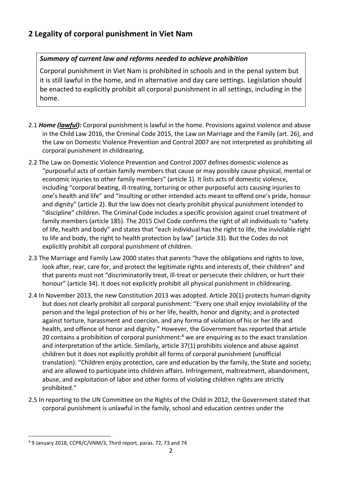## *Summary of current law and reforms needed to achieve prohibition*

Corporal punishment in Viet Nam is prohibited in schools and in the penal system but it is still lawful in the home, and in alternative and day care settings. Legislation should be enacted to explicitly prohibit all corporal punishment in all settings, including in the home.

- 2.1 *Home (lawful):* Corporal punishment is lawful in the home. Provisions against violence and abuse in the Child Law 2016, the Criminal Code 2015, the Law on Marriage and the Family (art. 26), and the Law on Domestic Violence Prevention and Control 2007 are not interpreted as prohibiting all corporal punishment in childrearing.
- 2.2 The Law on Domestic Violence Prevention and Control 2007 defines domestic violence as "purposeful acts of certain family members that cause or may possibly cause physical, mental or economic injuries to other family members" (article 1). It lists acts of domestic violence, including "corporal beating, ill-treating, torturing or other purposeful acts causing injuries to one's health and life" and "insulting or other intended acts meant to offend one's pride, honour and dignity" (article 2). But the law does not clearly prohibit physical punishment intended to "discipline" children. The Criminal Code includes a specific provision against cruel treatment of family members (article 185). The 2015 Civil Code confirms the right of all individuals to "safety of life, health and body" and states that "each individual has the right to life, the inviolable right to life and body, the right to health protection by law" (article 33). But the Codes do not explicitly prohibit all corporal punishment of children.
- 2.3 The Marriage and Family Law 2000 states that parents "have the obligations and rights to love, look after, rear, care for, and protect the legitimate rights and interests of, their children" and that parents must not "discriminatorily treat, ill-treat or persecute their children, or hurt their honour" (article 34). It does not explicitly prohibit all physical punishment in childrearing.
- 2.4 In November 2013, the new Constitution 2013 was adopted. Article 20(1) protects human dignity but does not clearly prohibit all corporal punishment: "Every one shall enjoy inviolability of the person and the legal protection of his or her life, health, honor and dignity; and is protected against torture, harassment and coercion, and any forma of violation of his or her life and health, and offence of honor and dignity." However, the Government has reported that article 20 contains a prohibition of corporal punishment:<sup>4</sup> we are enquiring as to the exact translation and interpretation of the article. Similarly, article 37(1) prohibits violence and abuse against children but it does not explicitly prohibit all forms of corporal punishment (unofficial translation): "Children enjoy protection, care and education by the family, the State and society; and are allowed to participate into children affairs. Infringement, maltreatment, abandonment, abuse, and exploitation of labor and other forms of violating children rights are strictly prohibited."
- 2.5 In reporting to the UN Committee on the Rights of the Child in 2012, the Government stated that corporal punishment is unlawful in the family, school and education centres under the

 $\overline{a}$ <sup>4</sup> 9 January 2018, CCPR/C/VNM/3, Third report, paras. 72, 73 and 74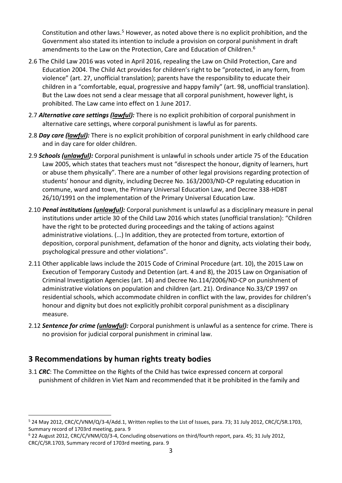Constitution and other laws.<sup>5</sup> However, as noted above there is no explicit prohibition, and the Government also stated its intention to include a provision on corporal punishment in draft amendments to the Law on the Protection. Care and Education of Children.<sup>6</sup>

- 2.6 The Child Law 2016 was voted in April 2016, repealing the Law on Child Protection, Care and Education 2004. The Child Act provides for children's right to be "protected, in any form, from violence" (art. 27, unofficial translation); parents have the responsibility to educate their children in a "comfortable, equal, progressive and happy family" (art. 98, unofficial translation). But the Law does not send a clear message that all corporal punishment, however light, is prohibited. The Law came into effect on 1 June 2017.
- 2.7 *Alternative care settings (lawful):* There is no explicit prohibition of corporal punishment in alternative care settings, where corporal punishment is lawful as for parents.
- 2.8 *Day care (lawful):* There is no explicit prohibition of corporal punishment in early childhood care and in day care for older children.
- 2.9 *Schools (unlawful):* Corporal punishment is unlawful in schools under article 75 of the Education Law 2005, which states that teachers must not "disrespect the honour, dignity of learners, hurt or abuse them physically". There are a number of other legal provisions regarding protection of students' honour and dignity, including Decree No. 163/2003/ND-CP regulating education in commune, ward and town, the Primary Universal Education Law, and Decree 338-HDBT 26/10/1991 on the implementation of the Primary Universal Education Law.
- 2.10 *Penal institutions (unlawful):* Corporal punishment is unlawful as a disciplinary measure in penal institutions under article 30 of the Child Law 2016 which states (unofficial translation): "Children have the right to be protected during proceedings and the taking of actions against administrative violations. (…) In addition, they are protected from torture, extortion of deposition, corporal punishment, defamation of the honor and dignity, acts violating their body, psychological pressure and other violations".
- 2.11 Other applicable laws include the 2015 Code of Criminal Procedure (art. 10), the 2015 Law on Execution of Temporary Custody and Detention (art. 4 and 8), the 2015 Law on Organisation of Criminal Investigation Agencies (art. 14) and Decree No.114/2006/ND-CP on punishment of administrative violations on population and children (art. 21). Ordinance No.33/CP 1997 on residential schools, which accommodate children in conflict with the law, provides for children's honour and dignity but does not explicitly prohibit corporal punishment as a disciplinary measure.
- 2.12 *Sentence for crime (unlawful):* Corporal punishment is unlawful as a sentence for crime. There is no provision for judicial corporal punishment in criminal law.

## **3 Recommendations by human rights treaty bodies**

 $\overline{a}$ 

3.1 *CRC*: The Committee on the Rights of the Child has twice expressed concern at corporal punishment of children in Viet Nam and recommended that it be prohibited in the family and

<sup>5</sup> 24 May 2012, CRC/C/VNM/Q/3-4/Add.1, Written replies to the List of Issues, para. 73; 31 July 2012, CRC/C/SR.1703, Summary record of 1703rd meeting, para. 9

<sup>6</sup> 22 August 2012, CRC/C/VNM/C0/3-4, Concluding observations on third/fourth report, para. 45; 31 July 2012, CRC/C/SR.1703, Summary record of 1703rd meeting, para. 9